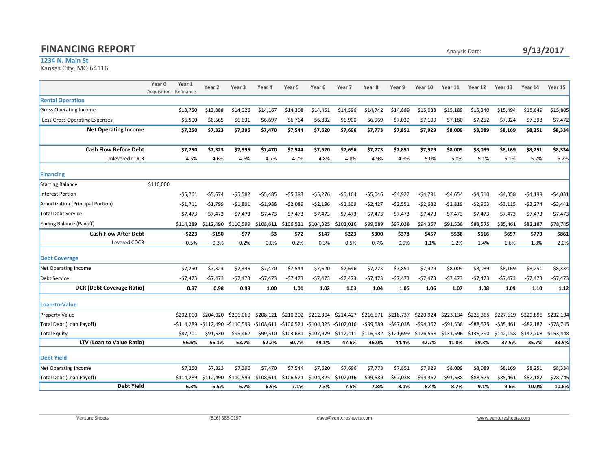## **FINANCING REPORT** Analysis Date:

## 1234 N. Main St

Kansas City, MO 64116

|                                  | Year 1<br>Year 0<br>Acquisition<br>Refinance | Year 2     | Year 3      | Year 4      | Year 5                | Year <sub>6</sub> | Year <sub>7</sub> | Year 8     | Year 9     | Year 10   | Year 11    | Year 12   | Year 13      | Year 14      | Year 15    |
|----------------------------------|----------------------------------------------|------------|-------------|-------------|-----------------------|-------------------|-------------------|------------|------------|-----------|------------|-----------|--------------|--------------|------------|
| <b>Rental Operation</b>          |                                              |            |             |             |                       |                   |                   |            |            |           |            |           |              |              |            |
| <b>Gross Operating Income</b>    | \$13,750                                     | \$13,888   | \$14,026    | \$14,167    | \$14,308              | \$14,451          | \$14,596          | \$14.742   | \$14,889   | \$15,038  | \$15,189   | \$15,340  | \$15,494     | \$15,649     | \$15,805   |
| -Less Gross Operating Expenses   | -\$6,500                                     | -\$6,565   | -\$6,631    | -\$6,697    | $-56,764$             | -\$6,832          | -\$6,900          | -\$6,969   | -\$7,039   | -\$7,109  | $-57,180$  | $-57,252$ | -\$7,324     | $-57,398$    | $-57,472$  |
| <b>Net Operating Income</b>      | \$7,250                                      | \$7,323    | \$7,396     | \$7,470     | \$7,544               | \$7,620           | \$7,696           | \$7,773    | \$7,851    | \$7,929   | \$8,009    | \$8,089   | \$8,169      | \$8,251      | \$8,334    |
|                                  |                                              |            |             |             |                       |                   |                   |            |            |           |            |           |              |              |            |
| <b>Cash Flow Before Debt</b>     | \$7.250                                      | \$7,323    | \$7,396     | \$7,470     | \$7,544               | \$7,620           | \$7.696           | \$7.773    | \$7.851    | \$7,929   | \$8,009    | \$8,089   | \$8,169      | \$8,251      | \$8,334    |
| Unlevered COCR                   | 4.5%                                         | 4.6%       | 4.6%        | 4.7%        | 4.7%                  | 4.8%              | 4.8%              | 4.9%       | 4.9%       | 5.0%      | 5.0%       | 5.1%      | 5.1%         | 5.2%         | 5.2%       |
| Financing                        |                                              |            |             |             |                       |                   |                   |            |            |           |            |           |              |              |            |
| <b>Starting Balance</b>          | \$116,000                                    |            |             |             |                       |                   |                   |            |            |           |            |           |              |              |            |
| <b>Interest Portion</b>          | -\$5.761                                     | -\$5,674   | -\$5,582    | -\$5,485    | $-55,383$             | -\$5,276          | -\$5,164          | -\$5,046   | $-54,922$  | $-54,791$ | $-54,654$  | $-54,510$ | $-54,358$    | $-54,199$    | $-$4,031$  |
| Amortization (Principal Portion) | -\$1,711                                     | -\$1,799   | $-51,891$   | $-51,988$   | $-52,089$             | -\$2,196          | -\$2,309          | -\$2,427   | -\$2,551   | $-52,682$ | $-52,819$  | $-52,963$ | $-53,115$    | $-53,274$    | -\$3,441   |
| Total Debt Service               | -\$7.473                                     | -\$7,473   | $-57,473$   | $-57,473$   | $-57,473$             | -\$7,473          | -\$7,473          | -\$7,473   | -\$7,473   | $-57,473$ | $-57,473$  | $-57,473$ | $-57,473$    | $-57,473$    | $-57,473$  |
| <b>Ending Balance (Payoff)</b>   | \$114.289                                    | \$112.490  | \$110,599   | \$108,611   | \$106,521             | \$104,325         | \$102,016         | \$99,589   | \$97.038   | \$94,357  | \$91,538   | \$88,575  | \$85,461     | \$82,187     | \$78,745   |
| <b>Cash Flow After Debt</b>      | -\$223                                       | -\$150     | -\$77       | -\$3        | \$72                  | \$147             | \$223             | \$300      | \$378      | \$457     | \$536      | \$616     | \$697        | \$779        | \$861      |
| Levered COCR                     | $-0.5%$                                      | $-0.3%$    | $-0.2%$     | 0.0%        | 0.2%                  | 0.3%              | 0.5%              | 0.7%       | 0.9%       | 1.1%      | 1.2%       | 1.4%      | 1.6%         | 1.8%         | 2.0%       |
| <b>Debt Coverage</b>             |                                              |            |             |             |                       |                   |                   |            |            |           |            |           |              |              |            |
| Net Operating Income             | \$7,250                                      | \$7,323    | \$7,396     | \$7,470     | \$7,544               | \$7,620           | \$7,696           | \$7,773    | \$7,851    | \$7,929   | \$8,009    | \$8,089   | \$8,169      | \$8,251      | \$8,334    |
| <b>Debt Service</b>              | $-57,473$                                    | -\$7,473   | -\$7,473    | -\$7,473    | -\$7,473              | -\$7,473          | -\$7,473          | -\$7,473   | -\$7,473   | -\$7,473  | -\$7,473   | -\$7,473  | -\$7,473     | -\$7,473     | -\$7,473   |
| <b>DCR (Debt Coverage Ratio)</b> | 0.97                                         | 0.98       | 0.99        | 1.00        | 1.01                  | 1.02              | 1.03              | 1.04       | 1.05       | 1.06      | 1.07       | 1.08      | 1.09         | 1.10         | 1.12       |
| Loan-to-Value                    |                                              |            |             |             |                       |                   |                   |            |            |           |            |           |              |              |            |
| <b>Property Value</b>            | \$202,000                                    | \$204.020  | \$206.060   | \$208.121   | \$210,202             | \$212,304         | \$214,427         | \$216,571  | \$218,737  | \$220,924 | \$223,134  | \$225,365 | \$227,619    | \$229,895    | \$232,194  |
| Total Debt (Loan Payoff)         | -\$114.289                                   | -\$112.490 | $-5110.599$ | $-5108.611$ | -\$106.521 -\$104.325 |                   | -\$102.016        | $-599.589$ | $-$97,038$ | -\$94.357 | $-591.538$ | -\$88.575 | $-$ \$85.461 | $-$ \$82,187 | $-578,745$ |
| <b>Total Equity</b>              | \$87,711                                     | \$91,530   | \$95,462    | \$99,510    | \$103,681             | \$107,979         | \$112,411         | \$116,982  | \$121,699  | \$126,568 | \$131,596  | \$136,790 | \$142,158    | \$147,708    | \$153,448  |
| LTV (Loan to Value Ratio)        | 56.6%                                        | 55.1%      | 53.7%       | 52.2%       | 50.7%                 | 49.1%             | 47.6%             | 46.0%      | 44.4%      | 42.7%     | 41.0%      | 39.3%     | 37.5%        | 35.7%        | 33.9%      |
| <b>Debt Yield</b>                |                                              |            |             |             |                       |                   |                   |            |            |           |            |           |              |              |            |
| <b>Net Operating Income</b>      | \$7,250                                      | \$7,323    | \$7,396     | \$7,470     | \$7,544               | \$7,620           | \$7,696           | \$7,773    | \$7,851    | \$7,929   | \$8,009    | \$8,089   | \$8,169      | \$8,251      | \$8,334    |
| Total Debt (Loan Payoff)         | \$114,289                                    | \$112.490  | \$110.599   | \$108.611   | \$106,521             | \$104.325         | \$102.016         | \$99,589   | \$97,038   | \$94,357  | \$91,538   | \$88,575  | \$85,461     | \$82,187     | \$78,745   |
| <b>Debt Yield</b>                | 6.3%                                         | 6.5%       | 6.7%        | 6.9%        | 7.1%                  | 7.3%              | 7.5%              | 7.8%       | 8.1%       | 8.4%      | 8.7%       | 9.1%      | 9.6%         | 10.0%        | 10.6%      |